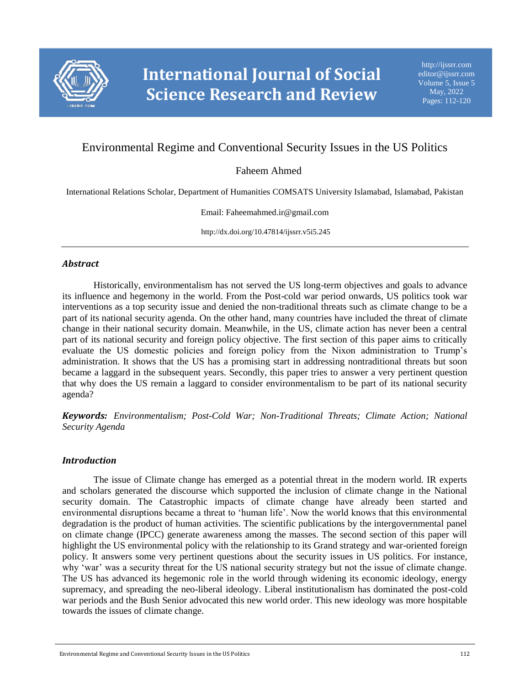

# Environmental Regime and Conventional Security Issues in the US Politics

# Faheem Ahmed

International Relations Scholar, Department of Humanities COMSATS University Islamabad, Islamabad, Pakistan

Email: Faheemahmed.ir@gmail.com

http://dx.doi.org/10.47814/ijssrr.v5i5.245

#### *Abstract*

Historically, environmentalism has not served the US long-term objectives and goals to advance its influence and hegemony in the world. From the Post-cold war period onwards, US politics took war interventions as a top security issue and denied the non-traditional threats such as climate change to be a part of its national security agenda. On the other hand, many countries have included the threat of climate change in their national security domain. Meanwhile, in the US, climate action has never been a central part of its national security and foreign policy objective. The first section of this paper aims to critically evaluate the US domestic policies and foreign policy from the Nixon administration to Trump's administration. It shows that the US has a promising start in addressing nontraditional threats but soon became a laggard in the subsequent years. Secondly, this paper tries to answer a very pertinent question that why does the US remain a laggard to consider environmentalism to be part of its national security agenda?

*Keywords: Environmentalism; Post-Cold War; Non-Traditional Threats; Climate Action; National Security Agenda*

#### *Introduction*

The issue of Climate change has emerged as a potential threat in the modern world. IR experts and scholars generated the discourse which supported the inclusion of climate change in the National security domain. The Catastrophic impacts of climate change have already been started and environmental disruptions became a threat to 'human life'. Now the world knows that this environmental degradation is the product of human activities. The scientific publications by the intergovernmental panel on climate change (IPCC) generate awareness among the masses. The second section of this paper will highlight the US environmental policy with the relationship to its Grand strategy and war-oriented foreign policy. It answers some very pertinent questions about the security issues in US politics. For instance, why 'war' was a security threat for the US national security strategy but not the issue of climate change. The US has advanced its hegemonic role in the world through widening its economic ideology, energy supremacy, and spreading the neo-liberal ideology. Liberal institutionalism has dominated the post-cold war periods and the Bush Senior advocated this new world order. This new ideology was more hospitable towards the issues of climate change.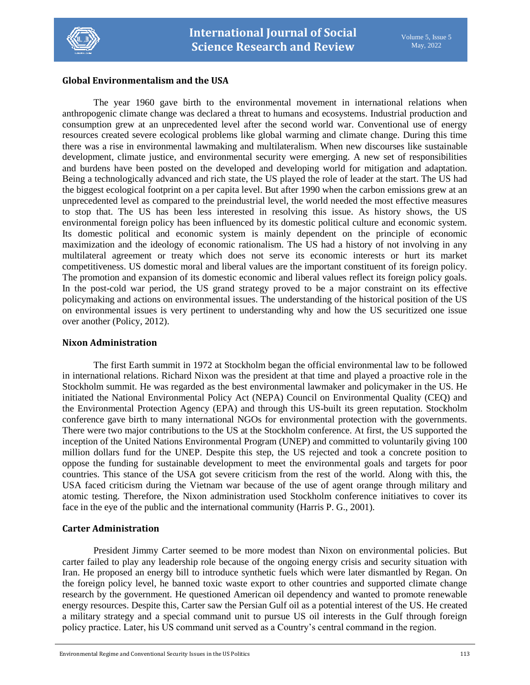

# **Global Environmentalism and the USA**

The year 1960 gave birth to the environmental movement in international relations when anthropogenic climate change was declared a threat to humans and ecosystems. Industrial production and consumption grew at an unprecedented level after the second world war. Conventional use of energy resources created severe ecological problems like global warming and climate change. During this time there was a rise in environmental lawmaking and multilateralism. When new discourses like sustainable development, climate justice, and environmental security were emerging. A new set of responsibilities and burdens have been posted on the developed and developing world for mitigation and adaptation. Being a technologically advanced and rich state, the US played the role of leader at the start. The US had the biggest ecological footprint on a per capita level. But after 1990 when the carbon emissions grew at an unprecedented level as compared to the preindustrial level, the world needed the most effective measures to stop that. The US has been less interested in resolving this issue. As history shows, the US environmental foreign policy has been influenced by its domestic political culture and economic system. Its domestic political and economic system is mainly dependent on the principle of economic maximization and the ideology of economic rationalism. The US had a history of not involving in any multilateral agreement or treaty which does not serve its economic interests or hurt its market competitiveness. US domestic moral and liberal values are the important constituent of its foreign policy. The promotion and expansion of its domestic economic and liberal values reflect its foreign policy goals. In the post-cold war period, the US grand strategy proved to be a major constraint on its effective policymaking and actions on environmental issues. The understanding of the historical position of the US on environmental issues is very pertinent to understanding why and how the US securitized one issue over another (Policy, 2012).

#### **Nixon Administration**

The first Earth summit in 1972 at Stockholm began the official environmental law to be followed in international relations. Richard Nixon was the president at that time and played a proactive role in the Stockholm summit. He was regarded as the best environmental lawmaker and policymaker in the US. He initiated the National Environmental Policy Act (NEPA) Council on Environmental Quality (CEQ) and the Environmental Protection Agency (EPA) and through this US-built its green reputation. Stockholm conference gave birth to many international NGOs for environmental protection with the governments. There were two major contributions to the US at the Stockholm conference. At first, the US supported the inception of the United Nations Environmental Program (UNEP) and committed to voluntarily giving 100 million dollars fund for the UNEP. Despite this step, the US rejected and took a concrete position to oppose the funding for sustainable development to meet the environmental goals and targets for poor countries. This stance of the USA got severe criticism from the rest of the world. Along with this, the USA faced criticism during the Vietnam war because of the use of agent orange through military and atomic testing. Therefore, the Nixon administration used Stockholm conference initiatives to cover its face in the eye of the public and the international community (Harris P. G., 2001).

# **Carter Administration**

President Jimmy Carter seemed to be more modest than Nixon on environmental policies. But carter failed to play any leadership role because of the ongoing energy crisis and security situation with Iran. He proposed an energy bill to introduce synthetic fuels which were later dismantled by Regan. On the foreign policy level, he banned toxic waste export to other countries and supported climate change research by the government. He questioned American oil dependency and wanted to promote renewable energy resources. Despite this, Carter saw the Persian Gulf oil as a potential interest of the US. He created a military strategy and a special command unit to pursue US oil interests in the Gulf through foreign policy practice. Later, his US command unit served as a Country's central command in the region.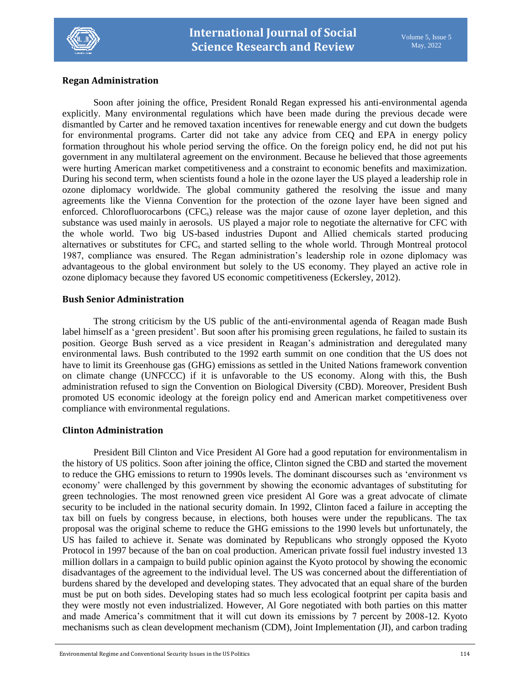

# **Regan Administration**

Soon after joining the office, President Ronald Regan expressed his anti-environmental agenda explicitly. Many environmental regulations which have been made during the previous decade were dismantled by Carter and he removed taxation incentives for renewable energy and cut down the budgets for environmental programs. Carter did not take any advice from CEQ and EPA in energy policy formation throughout his whole period serving the office. On the foreign policy end, he did not put his government in any multilateral agreement on the environment. Because he believed that those agreements were hurting American market competitiveness and a constraint to economic benefits and maximization. During his second term, when scientists found a hole in the ozone layer the US played a leadership role in ozone diplomacy worldwide. The global community gathered the resolving the issue and many agreements like the Vienna Convention for the protection of the ozone layer have been signed and enforced. Chlorofluorocarbons (CFC<sub>s</sub>) release was the major cause of ozone layer depletion, and this substance was used mainly in aerosols. US played a major role to negotiate the alternative for CFC with the whole world. Two big US-based industries Dupont and Allied chemicals started producing alternatives or substitutes for CFC<sub>s</sub> and started selling to the whole world. Through Montreal protocol 1987, compliance was ensured. The Regan administration's leadership role in ozone diplomacy was advantageous to the global environment but solely to the US economy. They played an active role in ozone diplomacy because they favored US economic competitiveness (Eckersley, 2012).

# **Bush Senior Administration**

The strong criticism by the US public of the anti-environmental agenda of Reagan made Bush label himself as a 'green president'. But soon after his promising green regulations, he failed to sustain its position. George Bush served as a vice president in Reagan's administration and deregulated many environmental laws. Bush contributed to the 1992 earth summit on one condition that the US does not have to limit its Greenhouse gas (GHG) emissions as settled in the United Nations framework convention on climate change (UNFCCC) if it is unfavorable to the US economy. Along with this, the Bush administration refused to sign the Convention on Biological Diversity (CBD). Moreover, President Bush promoted US economic ideology at the foreign policy end and American market competitiveness over compliance with environmental regulations.

# **Clinton Administration**

President Bill Clinton and Vice President Al Gore had a good reputation for environmentalism in the history of US politics. Soon after joining the office, Clinton signed the CBD and started the movement to reduce the GHG emissions to return to 1990s levels. The dominant discourses such as 'environment vs economy' were challenged by this government by showing the economic advantages of substituting for green technologies. The most renowned green vice president Al Gore was a great advocate of climate security to be included in the national security domain. In 1992, Clinton faced a failure in accepting the tax bill on fuels by congress because, in elections, both houses were under the republicans. The tax proposal was the original scheme to reduce the GHG emissions to the 1990 levels but unfortunately, the US has failed to achieve it. Senate was dominated by Republicans who strongly opposed the Kyoto Protocol in 1997 because of the ban on coal production. American private fossil fuel industry invested 13 million dollars in a campaign to build public opinion against the Kyoto protocol by showing the economic disadvantages of the agreement to the individual level. The US was concerned about the differentiation of burdens shared by the developed and developing states. They advocated that an equal share of the burden must be put on both sides. Developing states had so much less ecological footprint per capita basis and they were mostly not even industrialized. However, Al Gore negotiated with both parties on this matter and made America's commitment that it will cut down its emissions by 7 percent by 2008-12. Kyoto mechanisms such as clean development mechanism (CDM), Joint Implementation (JI), and carbon trading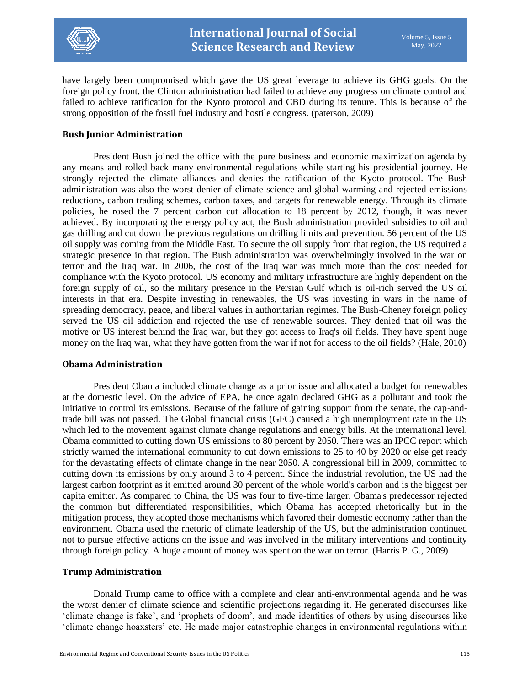

have largely been compromised which gave the US great leverage to achieve its GHG goals. On the foreign policy front, the Clinton administration had failed to achieve any progress on climate control and failed to achieve ratification for the Kyoto protocol and CBD during its tenure. This is because of the strong opposition of the fossil fuel industry and hostile congress. (paterson, 2009)

### **Bush Junior Administration**

President Bush joined the office with the pure business and economic maximization agenda by any means and rolled back many environmental regulations while starting his presidential journey. He strongly rejected the climate alliances and denies the ratification of the Kyoto protocol. The Bush administration was also the worst denier of climate science and global warming and rejected emissions reductions, carbon trading schemes, carbon taxes, and targets for renewable energy. Through its climate policies, he rosed the 7 percent carbon cut allocation to 18 percent by 2012, though, it was never achieved. By incorporating the energy policy act, the Bush administration provided subsidies to oil and gas drilling and cut down the previous regulations on drilling limits and prevention. 56 percent of the US oil supply was coming from the Middle East. To secure the oil supply from that region, the US required a strategic presence in that region. The Bush administration was overwhelmingly involved in the war on terror and the Iraq war. In 2006, the cost of the Iraq war was much more than the cost needed for compliance with the Kyoto protocol. US economy and military infrastructure are highly dependent on the foreign supply of oil, so the military presence in the Persian Gulf which is oil-rich served the US oil interests in that era. Despite investing in renewables, the US was investing in wars in the name of spreading democracy, peace, and liberal values in authoritarian regimes. The Bush-Cheney foreign policy served the US oil addiction and rejected the use of renewable sources. They denied that oil was the motive or US interest behind the Iraq war, but they got access to Iraq's oil fields. They have spent huge money on the Iraq war, what they have gotten from the war if not for access to the oil fields? (Hale, 2010)

#### **Obama Administration**

President Obama included climate change as a prior issue and allocated a budget for renewables at the domestic level. On the advice of EPA, he once again declared GHG as a pollutant and took the initiative to control its emissions. Because of the failure of gaining support from the senate, the cap-andtrade bill was not passed. The Global financial crisis (GFC) caused a high unemployment rate in the US which led to the movement against climate change regulations and energy bills. At the international level, Obama committed to cutting down US emissions to 80 percent by 2050. There was an IPCC report which strictly warned the international community to cut down emissions to 25 to 40 by 2020 or else get ready for the devastating effects of climate change in the near 2050. A congressional bill in 2009, committed to cutting down its emissions by only around 3 to 4 percent. Since the industrial revolution, the US had the largest carbon footprint as it emitted around 30 percent of the whole world's carbon and is the biggest per capita emitter. As compared to China, the US was four to five-time larger. Obama's predecessor rejected the common but differentiated responsibilities, which Obama has accepted rhetorically but in the mitigation process, they adopted those mechanisms which favored their domestic economy rather than the environment. Obama used the rhetoric of climate leadership of the US, but the administration continued not to pursue effective actions on the issue and was involved in the military interventions and continuity through foreign policy. A huge amount of money was spent on the war on terror. (Harris P. G., 2009)

#### **Trump Administration**

Donald Trump came to office with a complete and clear anti-environmental agenda and he was the worst denier of climate science and scientific projections regarding it. He generated discourses like 'climate change is fake', and 'prophets of doom', and made identities of others by using discourses like 'climate change hoaxsters' etc. He made major catastrophic changes in environmental regulations within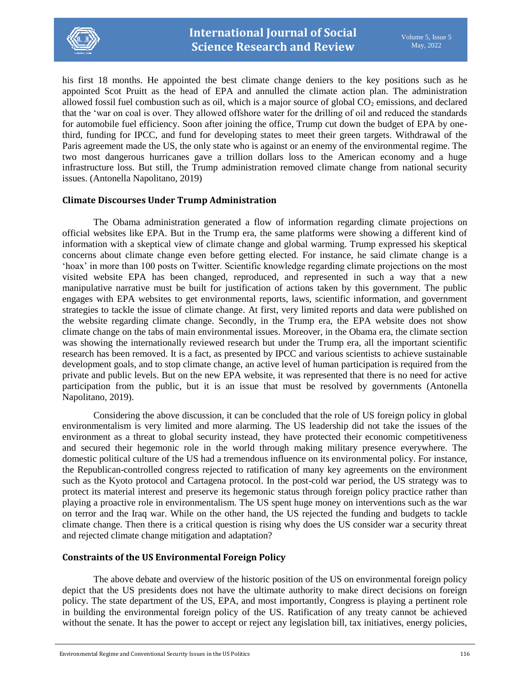

his first 18 months. He appointed the best climate change deniers to the key positions such as he appointed Scot Pruitt as the head of EPA and annulled the climate action plan. The administration allowed fossil fuel combustion such as oil, which is a major source of global  $CO<sub>2</sub>$  emissions, and declared that the 'war on coal is over. They allowed offshore water for the drilling of oil and reduced the standards for automobile fuel efficiency. Soon after joining the office, Trump cut down the budget of EPA by onethird, funding for IPCC, and fund for developing states to meet their green targets. Withdrawal of the Paris agreement made the US, the only state who is against or an enemy of the environmental regime. The two most dangerous hurricanes gave a trillion dollars loss to the American economy and a huge infrastructure loss. But still, the Trump administration removed climate change from national security issues. (Antonella Napolitano, 2019)

# **Climate Discourses Under Trump Administration**

The Obama administration generated a flow of information regarding climate projections on official websites like EPA. But in the Trump era, the same platforms were showing a different kind of information with a skeptical view of climate change and global warming. Trump expressed his skeptical concerns about climate change even before getting elected. For instance, he said climate change is a 'hoax' in more than 100 posts on Twitter. Scientific knowledge regarding climate projections on the most visited website EPA has been changed, reproduced, and represented in such a way that a new manipulative narrative must be built for justification of actions taken by this government. The public engages with EPA websites to get environmental reports, laws, scientific information, and government strategies to tackle the issue of climate change. At first, very limited reports and data were published on the website regarding climate change. Secondly, in the Trump era, the EPA website does not show climate change on the tabs of main environmental issues. Moreover, in the Obama era, the climate section was showing the internationally reviewed research but under the Trump era, all the important scientific research has been removed. It is a fact, as presented by IPCC and various scientists to achieve sustainable development goals, and to stop climate change, an active level of human participation is required from the private and public levels. But on the new EPA website, it was represented that there is no need for active participation from the public, but it is an issue that must be resolved by governments (Antonella Napolitano, 2019).

Considering the above discussion, it can be concluded that the role of US foreign policy in global environmentalism is very limited and more alarming. The US leadership did not take the issues of the environment as a threat to global security instead, they have protected their economic competitiveness and secured their hegemonic role in the world through making military presence everywhere. The domestic political culture of the US had a tremendous influence on its environmental policy. For instance, the Republican-controlled congress rejected to ratification of many key agreements on the environment such as the Kyoto protocol and Cartagena protocol. In the post-cold war period, the US strategy was to protect its material interest and preserve its hegemonic status through foreign policy practice rather than playing a proactive role in environmentalism. The US spent huge money on interventions such as the war on terror and the Iraq war. While on the other hand, the US rejected the funding and budgets to tackle climate change. Then there is a critical question is rising why does the US consider war a security threat and rejected climate change mitigation and adaptation?

# **Constraints of the US Environmental Foreign Policy**

The above debate and overview of the historic position of the US on environmental foreign policy depict that the US presidents does not have the ultimate authority to make direct decisions on foreign policy. The state department of the US, EPA, and most importantly, Congress is playing a pertinent role in building the environmental foreign policy of the US. Ratification of any treaty cannot be achieved without the senate. It has the power to accept or reject any legislation bill, tax initiatives, energy policies,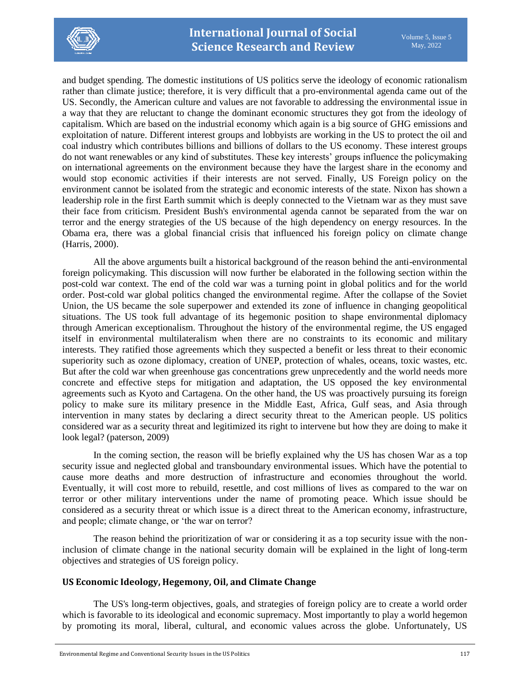

and budget spending. The domestic institutions of US politics serve the ideology of economic rationalism rather than climate justice; therefore, it is very difficult that a pro-environmental agenda came out of the US. Secondly, the American culture and values are not favorable to addressing the environmental issue in a way that they are reluctant to change the dominant economic structures they got from the ideology of capitalism. Which are based on the industrial economy which again is a big source of GHG emissions and exploitation of nature. Different interest groups and lobbyists are working in the US to protect the oil and coal industry which contributes billions and billions of dollars to the US economy. These interest groups do not want renewables or any kind of substitutes. These key interests' groups influence the policymaking on international agreements on the environment because they have the largest share in the economy and would stop economic activities if their interests are not served. Finally, US Foreign policy on the environment cannot be isolated from the strategic and economic interests of the state. Nixon has shown a leadership role in the first Earth summit which is deeply connected to the Vietnam war as they must save their face from criticism. President Bush's environmental agenda cannot be separated from the war on terror and the energy strategies of the US because of the high dependency on energy resources. In the Obama era, there was a global financial crisis that influenced his foreign policy on climate change (Harris, 2000).

All the above arguments built a historical background of the reason behind the anti-environmental foreign policymaking. This discussion will now further be elaborated in the following section within the post-cold war context. The end of the cold war was a turning point in global politics and for the world order. Post-cold war global politics changed the environmental regime. After the collapse of the Soviet Union, the US became the sole superpower and extended its zone of influence in changing geopolitical situations. The US took full advantage of its hegemonic position to shape environmental diplomacy through American exceptionalism. Throughout the history of the environmental regime, the US engaged itself in environmental multilateralism when there are no constraints to its economic and military interests. They ratified those agreements which they suspected a benefit or less threat to their economic superiority such as ozone diplomacy, creation of UNEP, protection of whales, oceans, toxic wastes, etc. But after the cold war when greenhouse gas concentrations grew unprecedently and the world needs more concrete and effective steps for mitigation and adaptation, the US opposed the key environmental agreements such as Kyoto and Cartagena. On the other hand, the US was proactively pursuing its foreign policy to make sure its military presence in the Middle East, Africa, Gulf seas, and Asia through intervention in many states by declaring a direct security threat to the American people. US politics considered war as a security threat and legitimized its right to intervene but how they are doing to make it look legal? (paterson, 2009)

In the coming section, the reason will be briefly explained why the US has chosen War as a top security issue and neglected global and transboundary environmental issues. Which have the potential to cause more deaths and more destruction of infrastructure and economies throughout the world. Eventually, it will cost more to rebuild, resettle, and cost millions of lives as compared to the war on terror or other military interventions under the name of promoting peace. Which issue should be considered as a security threat or which issue is a direct threat to the American economy, infrastructure, and people; climate change, or 'the war on terror?

The reason behind the prioritization of war or considering it as a top security issue with the noninclusion of climate change in the national security domain will be explained in the light of long-term objectives and strategies of US foreign policy.

# **US Economic Ideology, Hegemony, Oil, and Climate Change**

The US's long-term objectives, goals, and strategies of foreign policy are to create a world order which is favorable to its ideological and economic supremacy. Most importantly to play a world hegemon by promoting its moral, liberal, cultural, and economic values across the globe. Unfortunately, US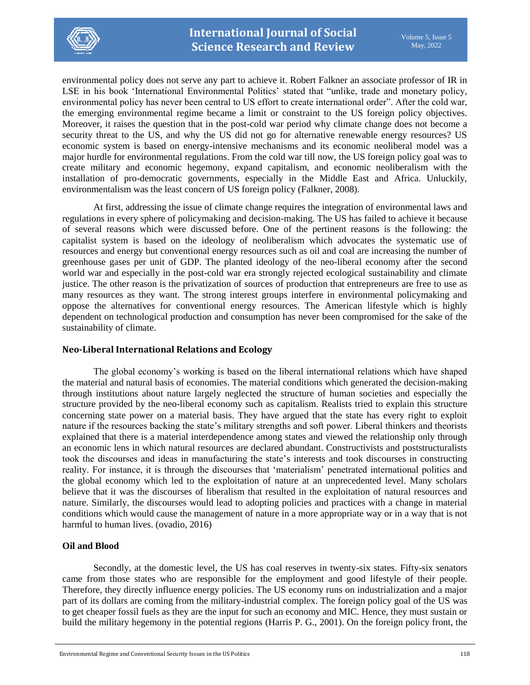

environmental policy does not serve any part to achieve it. Robert Falkner an associate professor of IR in LSE in his book 'International Environmental Politics' stated that "unlike, trade and monetary policy, environmental policy has never been central to US effort to create international order". After the cold war, the emerging environmental regime became a limit or constraint to the US foreign policy objectives. Moreover, it raises the question that in the post-cold war period why climate change does not become a security threat to the US, and why the US did not go for alternative renewable energy resources? US economic system is based on energy-intensive mechanisms and its economic neoliberal model was a major hurdle for environmental regulations. From the cold war till now, the US foreign policy goal was to create military and economic hegemony, expand capitalism, and economic neoliberalism with the installation of pro-democratic governments, especially in the Middle East and Africa. Unluckily, environmentalism was the least concern of US foreign policy (Falkner, 2008).

At first, addressing the issue of climate change requires the integration of environmental laws and regulations in every sphere of policymaking and decision-making. The US has failed to achieve it because of several reasons which were discussed before. One of the pertinent reasons is the following: the capitalist system is based on the ideology of neoliberalism which advocates the systematic use of resources and energy but conventional energy resources such as oil and coal are increasing the number of greenhouse gases per unit of GDP. The planted ideology of the neo-liberal economy after the second world war and especially in the post-cold war era strongly rejected ecological sustainability and climate justice. The other reason is the privatization of sources of production that entrepreneurs are free to use as many resources as they want. The strong interest groups interfere in environmental policymaking and oppose the alternatives for conventional energy resources. The American lifestyle which is highly dependent on technological production and consumption has never been compromised for the sake of the sustainability of climate.

# **Neo-Liberal International Relations and Ecology**

The global economy's working is based on the liberal international relations which have shaped the material and natural basis of economies. The material conditions which generated the decision-making through institutions about nature largely neglected the structure of human societies and especially the structure provided by the neo-liberal economy such as capitalism. Realists tried to explain this structure concerning state power on a material basis. They have argued that the state has every right to exploit nature if the resources backing the state's military strengths and soft power. Liberal thinkers and theorists explained that there is a material interdependence among states and viewed the relationship only through an economic lens in which natural resources are declared abundant. Constructivists and poststructuralists took the discourses and ideas in manufacturing the state's interests and took discourses in constructing reality. For instance, it is through the discourses that 'materialism' penetrated international politics and the global economy which led to the exploitation of nature at an unprecedented level. Many scholars believe that it was the discourses of liberalism that resulted in the exploitation of natural resources and nature. Similarly, the discourses would lead to adopting policies and practices with a change in material conditions which would cause the management of nature in a more appropriate way or in a way that is not harmful to human lives. (ovadio, 2016)

# **Oil and Blood**

Secondly, at the domestic level, the US has coal reserves in twenty-six states. Fifty-six senators came from those states who are responsible for the employment and good lifestyle of their people. Therefore, they directly influence energy policies. The US economy runs on industrialization and a major part of its dollars are coming from the military-industrial complex. The foreign policy goal of the US was to get cheaper fossil fuels as they are the input for such an economy and MIC. Hence, they must sustain or build the military hegemony in the potential regions (Harris P. G., 2001). On the foreign policy front, the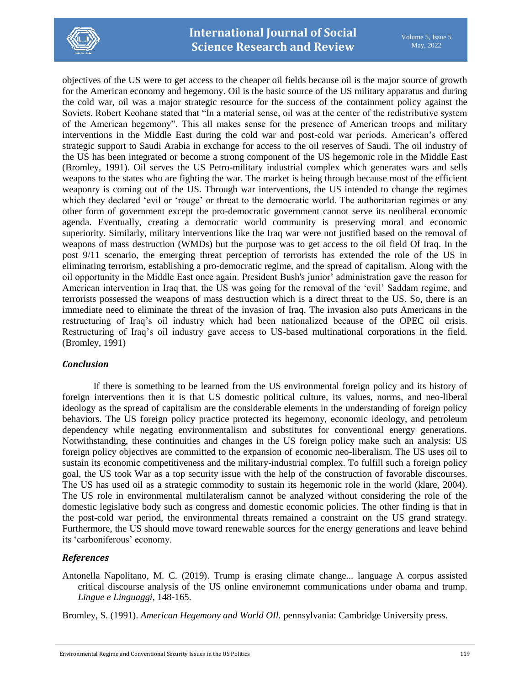

objectives of the US were to get access to the cheaper oil fields because oil is the major source of growth for the American economy and hegemony. Oil is the basic source of the US military apparatus and during the cold war, oil was a major strategic resource for the success of the containment policy against the Soviets. Robert Keohane stated that "In a material sense, oil was at the center of the redistributive system of the American hegemony". This all makes sense for the presence of American troops and military interventions in the Middle East during the cold war and post-cold war periods. American's offered strategic support to Saudi Arabia in exchange for access to the oil reserves of Saudi. The oil industry of the US has been integrated or become a strong component of the US hegemonic role in the Middle East (Bromley, 1991). Oil serves the US Petro-military industrial complex which generates wars and sells weapons to the states who are fighting the war. The market is being through because most of the efficient weaponry is coming out of the US. Through war interventions, the US intended to change the regimes which they declared 'evil or 'rouge' or threat to the democratic world. The authoritarian regimes or any other form of government except the pro-democratic government cannot serve its neoliberal economic agenda. Eventually, creating a democratic world community is preserving moral and economic superiority. Similarly, military interventions like the Iraq war were not justified based on the removal of weapons of mass destruction (WMDs) but the purpose was to get access to the oil field Of Iraq. In the post 9/11 scenario, the emerging threat perception of terrorists has extended the role of the US in eliminating terrorism, establishing a pro-democratic regime, and the spread of capitalism. Along with the oil opportunity in the Middle East once again. President Bush's junior' administration gave the reason for American intervention in Iraq that, the US was going for the removal of the 'evil' Saddam regime, and terrorists possessed the weapons of mass destruction which is a direct threat to the US. So, there is an immediate need to eliminate the threat of the invasion of Iraq. The invasion also puts Americans in the restructuring of Iraq's oil industry which had been nationalized because of the OPEC oil crisis. Restructuring of Iraq's oil industry gave access to US-based multinational corporations in the field. (Bromley, 1991)

# *Conclusion*

If there is something to be learned from the US environmental foreign policy and its history of foreign interventions then it is that US domestic political culture, its values, norms, and neo-liberal ideology as the spread of capitalism are the considerable elements in the understanding of foreign policy behaviors. The US foreign policy practice protected its hegemony, economic ideology, and petroleum dependency while negating environmentalism and substitutes for conventional energy generations. Notwithstanding, these continuities and changes in the US foreign policy make such an analysis: US foreign policy objectives are committed to the expansion of economic neo-liberalism. The US uses oil to sustain its economic competitiveness and the military-industrial complex. To fulfill such a foreign policy goal, the US took War as a top security issue with the help of the construction of favorable discourses. The US has used oil as a strategic commodity to sustain its hegemonic role in the world (klare, 2004). The US role in environmental multilateralism cannot be analyzed without considering the role of the domestic legislative body such as congress and domestic economic policies. The other finding is that in the post-cold war period, the environmental threats remained a constraint on the US grand strategy. Furthermore, the US should move toward renewable sources for the energy generations and leave behind its 'carboniferous' economy.

# *References*

Antonella Napolitano, M. C. (2019). Trump is erasing climate change... language A corpus assisted critical discourse analysis of the US online environemnt communications under obama and trump. *Lingue e Linguaggi*, 148-165.

Bromley, S. (1991). *American Hegemony and World OIl.* pennsylvania: Cambridge University press.